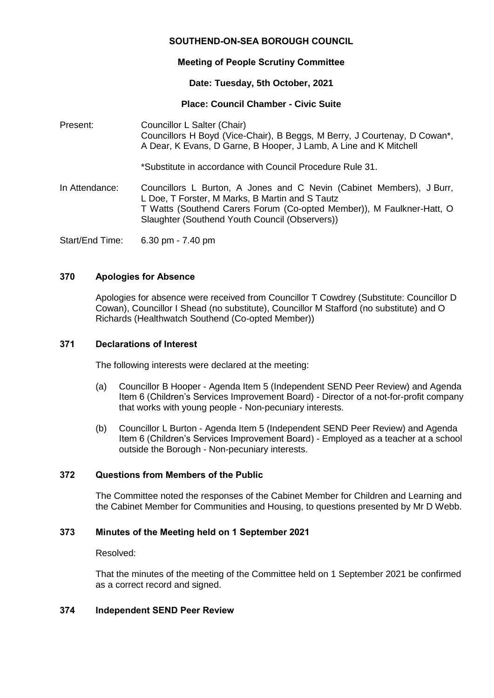# **SOUTHEND-ON-SEA BOROUGH COUNCIL**

# **Meeting of People Scrutiny Committee**

## **Date: Tuesday, 5th October, 2021**

# **Place: Council Chamber - Civic Suite**

Present: Councillor L Salter (Chair) Councillors H Boyd (Vice-Chair), B Beggs, M Berry, J Courtenay, D Cowan\*, A Dear, K Evans, D Garne, B Hooper, J Lamb, A Line and K Mitchell \*Substitute in accordance with Council Procedure Rule 31. In Attendance: Councillors L Burton, A Jones and C Nevin (Cabinet Members), J Burr, L Doe, T Forster, M Marks, B Martin and S Tautz T Watts (Southend Carers Forum (Co-opted Member)), M Faulkner-Hatt, O Slaughter (Southend Youth Council (Observers))

Start/End Time: 6.30 pm - 7.40 pm

# **370 Apologies for Absence**

Apologies for absence were received from Councillor T Cowdrey (Substitute: Councillor D Cowan), Councillor I Shead (no substitute), Councillor M Stafford (no substitute) and O Richards (Healthwatch Southend (Co-opted Member))

#### **371 Declarations of Interest**

The following interests were declared at the meeting:

- (a) Councillor B Hooper Agenda Item 5 (Independent SEND Peer Review) and Agenda Item 6 (Children's Services Improvement Board) - Director of a not-for-profit company that works with young people - Non-pecuniary interests.
- (b) Councillor L Burton Agenda Item 5 (Independent SEND Peer Review) and Agenda Item 6 (Children's Services Improvement Board) - Employed as a teacher at a school outside the Borough - Non-pecuniary interests.

#### **372 Questions from Members of the Public**

The Committee noted the responses of the Cabinet Member for Children and Learning and the Cabinet Member for Communities and Housing, to questions presented by Mr D Webb.

## **373 Minutes of the Meeting held on 1 September 2021**

#### Resolved:

That the minutes of the meeting of the Committee held on 1 September 2021 be confirmed as a correct record and signed.

## **374 Independent SEND Peer Review**